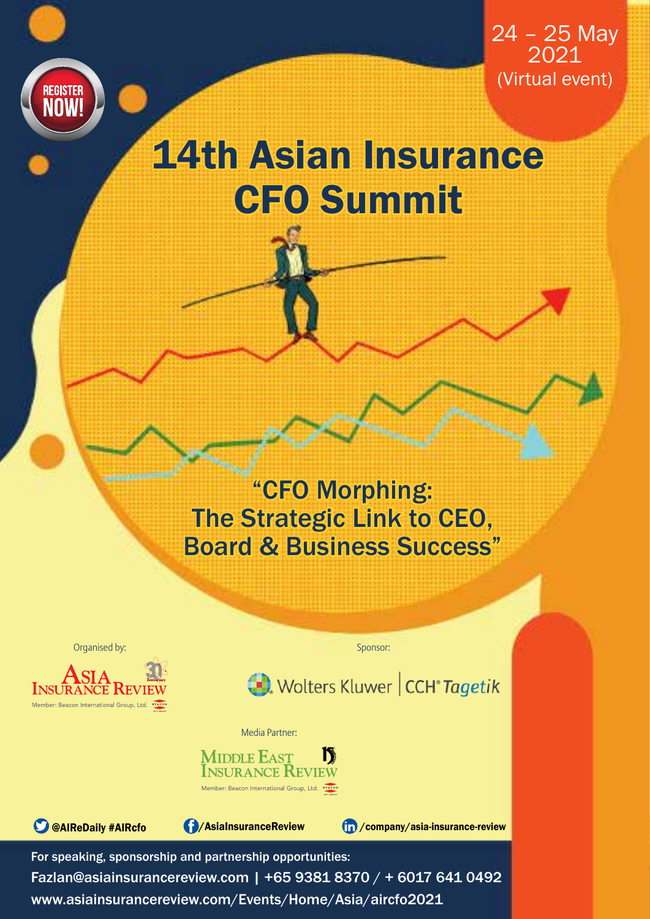

 $24 - 25$  May 2021 (Virtual event)

# 14th Asian Insurance CFO Summit

"CFO Morphing: The Strategic Link to CEO, Board & Business Success"

Organised by:



Sponsor:



Media Partner:





For speaking, sponsorship and partnership opportunities:

Fazlan@asiainsurancereview.com | +65 9381 8370 / + 6017 641 0492 www.asiainsurancereview.com/Events/Home/Asia/aircfo2021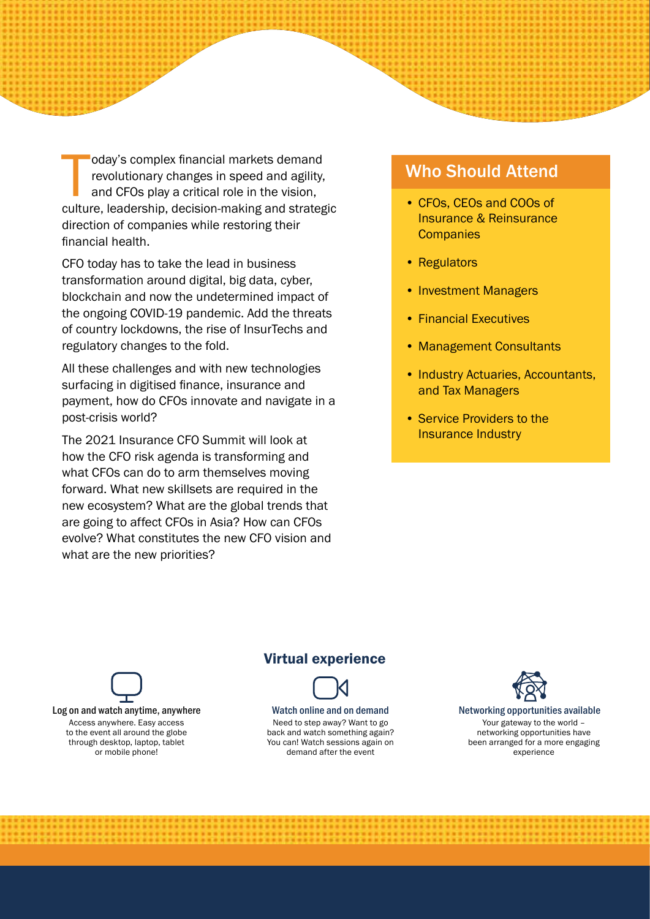oday's complex financial markets demand<br>revolutionary changes in speed and agility,<br>and CFOs play a critical role in the vision,<br>culture, leadership, decision-making and strategic oday's complex financial markets demand revolutionary changes in speed and agility, and CFOs play a critical role in the vision, direction of companies while restoring their financial health.

CFO today has to take the lead in business transformation around digital, big data, cyber, blockchain and now the undetermined impact of the ongoing COVID-19 pandemic. Add the threats of country lockdowns, the rise of InsurTechs and regulatory changes to the fold.

All these challenges and with new technologies surfacing in digitised finance, insurance and payment, how do CFOs innovate and navigate in a post-crisis world?

The 2021 Insurance CFO Summit will look at how the CFO risk agenda is transforming and what CFOs can do to arm themselves moving forward. What new skillsets are required in the new ecosystem? What are the global trends that are going to affect CFOs in Asia? How can CFOs evolve? What constitutes the new CFO vision and what are the new priorities?

### Who Should Attend

- CFOs, CEOs and COOs of Insurance & Reinsurance **Companies**
- Regulators
- Investment Managers
- Financial Executives
- Management Consultants
- Industry Actuaries, Accountants, and Tax Managers
- Service Providers to the Insurance Industry

### Virtual experience



Need to step away? Want to go back and watch something again? You can! Watch sessions again on demand after the event



Networking opportunities available Your gateway to the world – networking opportunities have been arranged for a more engaging experience

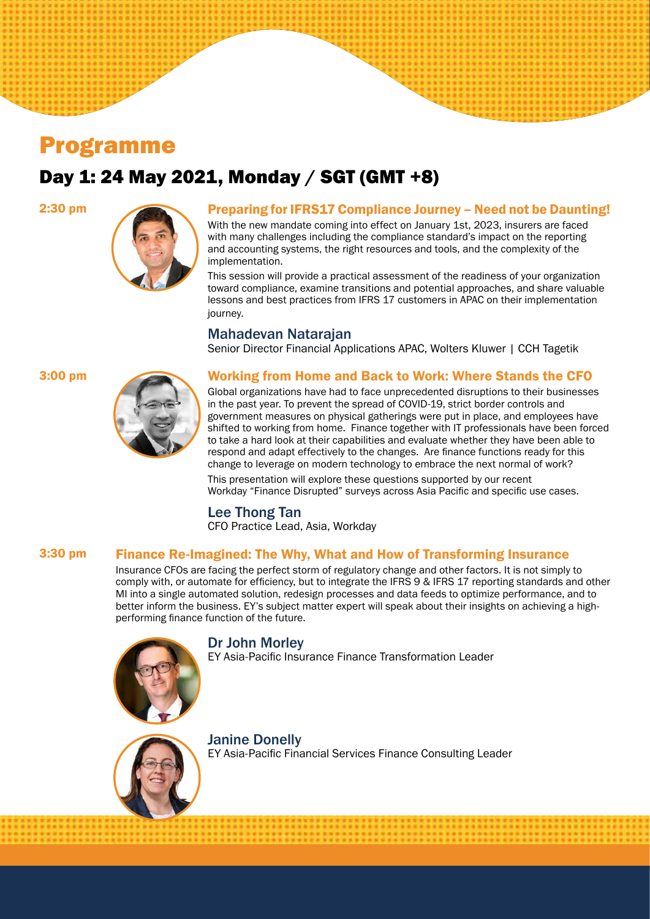## Programme

## Day 1: 24 May 2021, Monday / SGT (GMT +8)



#### 2:30 pm Preparing for IFRS17 Compliance Journey – Need not be Daunting!

With the new mandate coming into effect on January 1st, 2023, insurers are faced with many challenges including the compliance standard's impact on the reporting and accounting systems, the right resources and tools, and the complexity of the implementation.

This session will provide a practical assessment of the readiness of your organization toward compliance, examine transitions and potential approaches, and share valuable lessons and best practices from IFRS 17 customers in APAC on their implementation journey.

#### Mahadevan Natarajan

Senior Director Financial Applications APAC, Wolters Kluwer | CCH Tagetik



#### 3:00 pm Working from Home and Back to Work: Where Stands the CFO

Global organizations have had to face unprecedented disruptions to their businesses in the past year. To prevent the spread of COVID-19, strict border controls and government measures on physical gatherings were put in place, and employees have shifted to working from home. Finance together with IT professionals have been forced to take a hard look at their capabilities and evaluate whether they have been able to respond and adapt effectively to the changes. Are finance functions ready for this change to leverage on modern technology to embrace the next normal of work?

This presentation will explore these questions supported by our recent Workday "Finance Disrupted" surveys across Asia Pacific and specific use cases.

### Lee Thong Tan

CFO Practice Lead, Asia, Workday

#### 3:30 pm Finance Re-Imagined: The Why, What and How of Transforming Insurance

Insurance CFOs are facing the perfect storm of regulatory change and other factors. It is not simply to comply with, or automate for efficiency, but to integrate the IFRS 9 & IFRS 17 reporting standards and other MI into a single automated solution, redesign processes and data feeds to optimize performance, and to better inform the business. EY's subject matter expert will speak about their insights on achieving a highperforming finance function of the future.

#### Dr John Morley

EY Asia-Pacific Insurance Finance Transformation Leader



### Janine Donelly

EY Asia-Pacific Financial Services Finance Consulting Leader

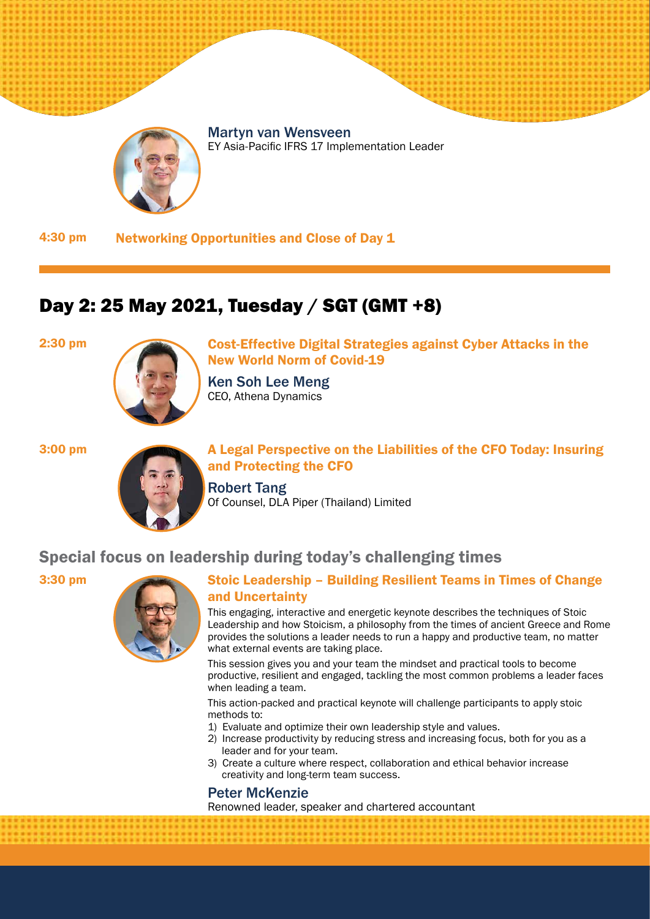



EY Asia-Pacific IFRS 17 Implementation Leader

4:30 pm Networking Opportunities and Close of Day 1

## Day 2: 25 May 2021, Tuesday / SGT (GMT +8)



2:30 pm **Cost-Effective Digital Strategies against Cyber Attacks in the** New World Norm of Covid-19

> Ken Soh Lee Meng CEO, Athena Dynamics



3:00 pm A Legal Perspective on the Liabilities of the CFO Today: Insuring and Protecting the CFO

> Robert Tang Of Counsel, DLA Piper (Thailand) Limited

### Special focus on leadership during today's challenging times



### 3:30 pm Stoic Leadership – Building Resilient Teams in Times of Change and Uncertainty

This engaging, interactive and energetic keynote describes the techniques of Stoic Leadership and how Stoicism, a philosophy from the times of ancient Greece and Rome provides the solutions a leader needs to run a happy and productive team, no matter what external events are taking place.

This session gives you and your team the mindset and practical tools to become productive, resilient and engaged, tackling the most common problems a leader faces when leading a team.

This action-packed and practical keynote will challenge participants to apply stoic methods to:

- 1) Evaluate and optimize their own leadership style and values.
- 2) Increase productivity by reducing stress and increasing focus, both for you as a leader and for your team.
- 3) Create a culture where respect, collaboration and ethical behavior increase creativity and long-term team success.

#### Peter McKenzie

Renowned leader, speaker and chartered accountant